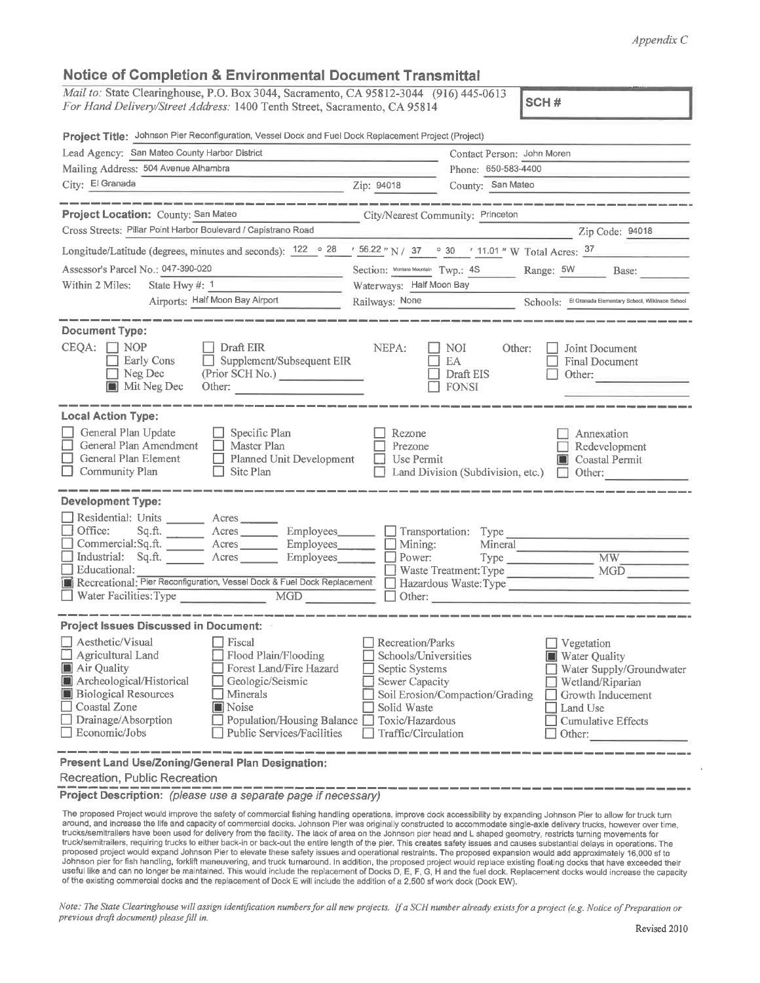## Appendix C

## Notice of Completion & Environmental Document Transmittal

| Mail to: State Clearinghouse, P.O. Box 3044, Sacramento, CA 95812-3044 (916) 445-0613<br>For Hand Delivery/Street Address: 1400 Tenth Street, Sacramento, CA 95814 | ISCH#                           |  |  |  |
|--------------------------------------------------------------------------------------------------------------------------------------------------------------------|---------------------------------|--|--|--|
| Project Title: Johnson Pier Reconfiguration, Vessel Dock and Fuel Dock Replacement Project (Project)                                                               |                                 |  |  |  |
| Lead Agency: San Mateo County Harbor District                                                                                                                      | Contact Person: John Moren      |  |  |  |
| Mailing Address: 504 Avenue Alhambra                                                                                                                               | Phone: 650-583-4400             |  |  |  |
| City: El Granada                                                                                                                                                   | County: San Mateo<br>Zip: 94018 |  |  |  |

| Project Location: County: San Mateo                                                                                                                                                                                                                                                                                                                                                                  | City/Nearest Community: Princeton                                                                                                                                                                                                                                                                                          |  |  |  |  |
|------------------------------------------------------------------------------------------------------------------------------------------------------------------------------------------------------------------------------------------------------------------------------------------------------------------------------------------------------------------------------------------------------|----------------------------------------------------------------------------------------------------------------------------------------------------------------------------------------------------------------------------------------------------------------------------------------------------------------------------|--|--|--|--|
| Cross Streets: Pillar Point Harbor Boulevard / Capistrano Road                                                                                                                                                                                                                                                                                                                                       | Zip Code: 94018                                                                                                                                                                                                                                                                                                            |  |  |  |  |
|                                                                                                                                                                                                                                                                                                                                                                                                      | Longitude/Latitude (degrees, minutes and seconds): $122 \cdot 28$ / $56.22$ "N / 37 $\cdot 30$ / 11.01 "W Total Acres: $37$                                                                                                                                                                                                |  |  |  |  |
| Assessor's Parcel No.: 047-390-020<br>Within 2 Miles:<br>State Hwy #: 1                                                                                                                                                                                                                                                                                                                              | Section: Montara Mountain Twp.: 48 Range: 5W Base:<br>Waterways: Half Moon Bay                                                                                                                                                                                                                                             |  |  |  |  |
| Airports: Half Moon Bay Airport                                                                                                                                                                                                                                                                                                                                                                      | Railways: None Schools: El Granada Elementary School, Wilkinson Sxhool                                                                                                                                                                                                                                                     |  |  |  |  |
|                                                                                                                                                                                                                                                                                                                                                                                                      |                                                                                                                                                                                                                                                                                                                            |  |  |  |  |
| <b>Document Type:</b>                                                                                                                                                                                                                                                                                                                                                                                |                                                                                                                                                                                                                                                                                                                            |  |  |  |  |
| $CEQA:$ NOP<br>$\Box$ Draft EIR<br>Supplement/Subsequent EIR<br>Early Cons<br>$\Box$ Neg Dec<br>(Prior SCH No.)<br>$\blacksquare$ Mit Neg Dec<br>Other:                                                                                                                                                                                                                                              | NEPA:<br>NOI<br>Other:<br>Joint Document<br>EA<br>Final Document<br>Draft EIS<br>Other:<br><b>FONSI</b>                                                                                                                                                                                                                    |  |  |  |  |
| <b>Local Action Type:</b>                                                                                                                                                                                                                                                                                                                                                                            |                                                                                                                                                                                                                                                                                                                            |  |  |  |  |
| General Plan Update<br>$\Box$ Specific Plan<br>General Plan Amendment<br>$\Box$ Master Plan<br>General Plan Element<br>Planned Unit Development<br>$\Box$ Community Plan<br>$\Box$ Site Plan                                                                                                                                                                                                         | Rezone<br>Annexation<br>Prezone<br>Redevelopment<br>$\Box$ Use Permit<br>Coastal Permit<br>Land Division (Subdivision, etc.) $\Box$ Other:                                                                                                                                                                                 |  |  |  |  |
| <b>Development Type:</b>                                                                                                                                                                                                                                                                                                                                                                             |                                                                                                                                                                                                                                                                                                                            |  |  |  |  |
| Residential: Units ________ Acres _______<br>$\Box$ Office:<br>Commercial:Sq.ft. <u>Acres</u> Acres Employees<br>Industrial: Sq.ft. <u>Acres</u> Acres Employees<br>Educational:<br>Recreational: Pier Reconfiguration, Vessel Dock & Fuel Dock Replacement<br>Water Facilities: Type                                                                                                                | Sq.ft. _________ Acres __________ Employees_________ ___] Transportation: Type ____________________<br>Mining:<br>Mineral<br>Power: Type MW<br>MGD<br>Waste Treatment: Type<br>Hazardous Waste: Type<br>Other:                                                                                                             |  |  |  |  |
| <b>Project Issues Discussed in Document:</b>                                                                                                                                                                                                                                                                                                                                                         |                                                                                                                                                                                                                                                                                                                            |  |  |  |  |
| $\Box$ Aesthetic/Visual<br>l Fiscal<br>$\Box$ Agricultural Land<br>Flood Plain/Flooding<br>Forest Land/Fire Hazard<br>Air Quality<br>Archeological/Historical<br>Geologic/Seismic<br><b>Biological Resources</b><br>$\Box$ Minerals<br>□ Coastal Zone<br><b>Noise</b><br>□ Drainage/Absorption<br>Population/Housing Balance □ Toxic/Hazardous<br>$\Box$ Economic/Jobs<br>Public Services/Facilities | Recreation/Parks<br>Vegetation<br>Schools/Universities<br><b>Water Quality</b><br>Septic Systems<br>Water Supply/Groundwater<br>Sewer Capacity<br>Wetland/Riparian<br>Soil Erosion/Compaction/Grading<br>$\Box$ Growth Inducement<br>Solid Waste<br>Land Use<br><b>Cumulative Effects</b><br>Traffic/Circulation<br>Other: |  |  |  |  |

Present Land Use/Zoning/General Plan Designation:

Recreation, Public Recreation

Project Description: (please use a separate page if necessary)

The proposed Project would improve the safety of commercial fishing handling operations, improve dock accessibility by expanding Johnson Pier to allow for truck turn<br>around, and increase the life and capacity of commercial trucks/semitrailers have been used for delivery from the facility. The lack of area on the Johnson pier head and L shaped geometry, restricts turning movements for truck/semitrailers, requiring trucks to either back-in or back-out the entire length of the pier. This creates safety issues and causes substantial delays in operations. The proposed project would expand Johnson Pier to elevate these safety issues and operational restraints. The proposed expansion would add approximately 16,000 sf to Johnson pier for fish handling, forklift maneuvering, and truck turnaround. In addition, the proposed project would replace existing floating docks that have exceeded their useful like and can no longer be maintained. This would include the replacement of Docks D, E, F, G, H and the fuel dock. Replacement docks would increase the capacity of the existing commercial docks and the replacement of Dock E will include the addition of a 2,500 sf work dock (Dock EW).

Note: The State Clearinghouse will assign identification numbers for all new projects. If a SCH number already exists for a project (e.g. Notice of Preparation or previous draft document) please fill in.